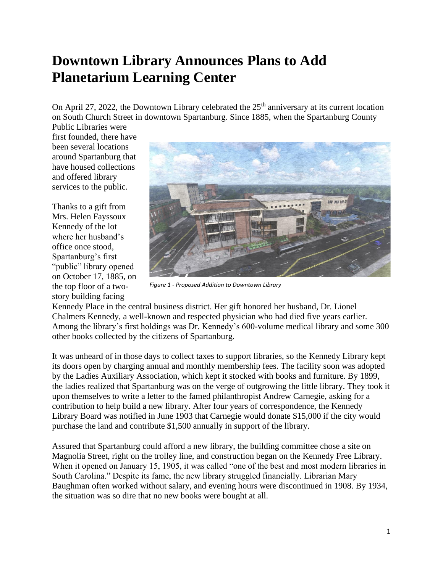## **Downtown Library Announces Plans to Add Planetarium Learning Center**

On April 27, 2022, the Downtown Library celebrated the  $25<sup>th</sup>$  anniversary at its current location on South Church Street in downtown Spartanburg. Since 1885, when the Spartanburg County

Public Libraries were first founded, there have been several locations around Spartanburg that have housed collections and offered library services to the public.

Thanks to a gift from Mrs. Helen Fayssoux Kennedy of the lot where her husband's office once stood, Spartanburg's first "public" library opened on October 17, 1885, on the top floor of a twostory building facing



*Figure 1 - Proposed Addition to Downtown Library*

Kennedy Place in the central business district. Her gift honored her husband, Dr. Lionel Chalmers Kennedy, a well-known and respected physician who had died five years earlier. Among the library's first holdings was Dr. Kennedy's 600-volume medical library and some 300 other books collected by the citizens of Spartanburg.

It was unheard of in those days to collect taxes to support libraries, so the Kennedy Library kept its doors open by charging annual and monthly membership fees. The facility soon was adopted by the Ladies Auxiliary Association, which kept it stocked with books and furniture. By 1899, the ladies realized that Spartanburg was on the verge of outgrowing the little library. They took it upon themselves to write a letter to the famed philanthropist Andrew Carnegie, asking for a contribution to help build a new library. After four years of correspondence, the Kennedy Library Board was notified in June 1903 that Carnegie would donate \$15,000 if the city would purchase the land and contribute \$1,500 annually in support of the library.

Assured that Spartanburg could afford a new library, the building committee chose a site on Magnolia Street, right on the trolley line, and construction began on the Kennedy Free Library. When it opened on January 15, 1905, it was called "one of the best and most modern libraries in South Carolina." Despite its fame, the new library struggled financially. Librarian Mary Baughman often worked without salary, and evening hours were discontinued in 1908. By 1934, the situation was so dire that no new books were bought at all.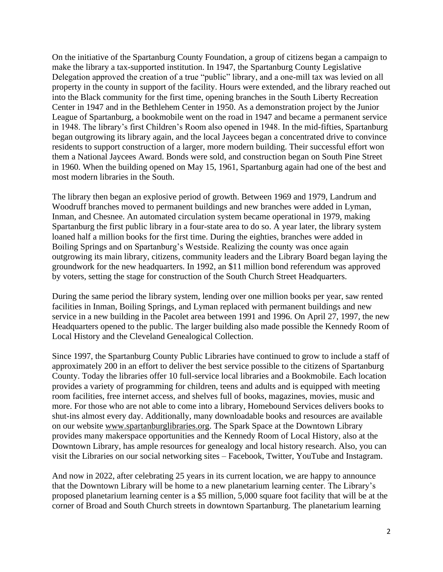On the initiative of the Spartanburg County Foundation, a group of citizens began a campaign to make the library a tax-supported institution. In 1947, the Spartanburg County Legislative Delegation approved the creation of a true "public" library, and a one-mill tax was levied on all property in the county in support of the facility. Hours were extended, and the library reached out into the Black community for the first time, opening branches in the South Liberty Recreation Center in 1947 and in the Bethlehem Center in 1950. As a demonstration project by the Junior League of Spartanburg, a bookmobile went on the road in 1947 and became a permanent service in 1948. The library's first Children's Room also opened in 1948. In the mid-fifties, Spartanburg began outgrowing its library again, and the local Jaycees began a concentrated drive to convince residents to support construction of a larger, more modern building. Their successful effort won them a National Jaycees Award. Bonds were sold, and construction began on South Pine Street in 1960. When the building opened on May 15, 1961, Spartanburg again had one of the best and most modern libraries in the South.

The library then began an explosive period of growth. Between 1969 and 1979, Landrum and Woodruff branches moved to permanent buildings and new branches were added in Lyman, Inman, and Chesnee. An automated circulation system became operational in 1979, making Spartanburg the first public library in a four-state area to do so. A year later, the library system loaned half a million books for the first time. During the eighties, branches were added in Boiling Springs and on Spartanburg's Westside. Realizing the county was once again outgrowing its main library, citizens, community leaders and the Library Board began laying the groundwork for the new headquarters. In 1992, an \$11 million bond referendum was approved by voters, setting the stage for construction of the South Church Street Headquarters.

During the same period the library system, lending over one million books per year, saw rented facilities in Inman, Boiling Springs, and Lyman replaced with permanent buildings and new service in a new building in the Pacolet area between 1991 and 1996. On April 27, 1997, the new Headquarters opened to the public. The larger building also made possible the Kennedy Room of Local History and the Cleveland Genealogical Collection.

Since 1997, the Spartanburg County Public Libraries have continued to grow to include a staff of approximately 200 in an effort to deliver the best service possible to the citizens of Spartanburg County. Today the libraries offer 10 full-service local libraries and a Bookmobile. Each location provides a variety of programming for children, teens and adults and is equipped with meeting room facilities, free internet access, and shelves full of books, magazines, movies, music and more. For those who are not able to come into a library, Homebound Services delivers books to shut-ins almost every day. Additionally, many downloadable books and resources are available on our website [www.spartanburglibraries.org.](http://www.spartanburglibraries.org/) The Spark Space at the Downtown Library provides many makerspace opportunities and the Kennedy Room of Local History, also at the Downtown Library, has ample resources for genealogy and local history research. Also, you can visit the Libraries on our social networking sites – Facebook, Twitter, YouTube and Instagram.

And now in 2022, after celebrating 25 years in its current location, we are happy to announce that the Downtown Library will be home to a new planetarium learning center. The Library's proposed planetarium learning center is a \$5 million, 5,000 square foot facility that will be at the corner of Broad and South Church streets in downtown Spartanburg. The planetarium learning